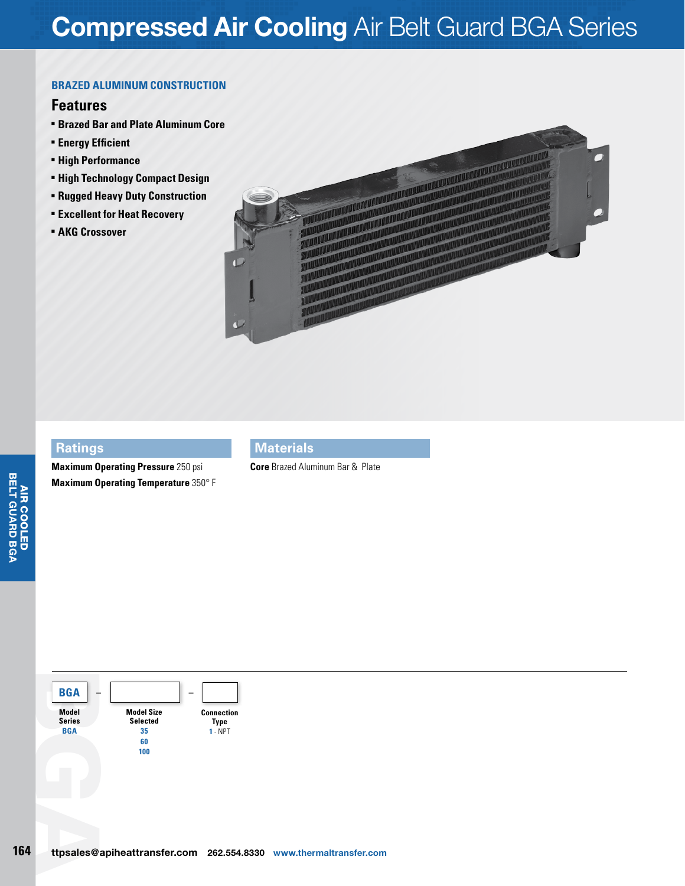# **Compressed Air Cooling** Air Belt Guard BGA Series

#### **brazed aluminum Construction**

## **Features**

- <sup>n</sup> **Brazed Bar and Plate Aluminum Core**
- **Energy Efficient**
- $-$  **High Performance**
- **High Technology Compact Design**
- <sup>n</sup> **Rugged Heavy Duty Construction**
- <sup>n</sup> **Excellent for Heat Recovery**
- **E** AKG Crossover



#### **Ratings**

**Maximum Operating Pressure** 250 psi **Maximum Operating Temperature** 350° F

## **Materials**

**Core** Brazed Aluminum Bar & Plate